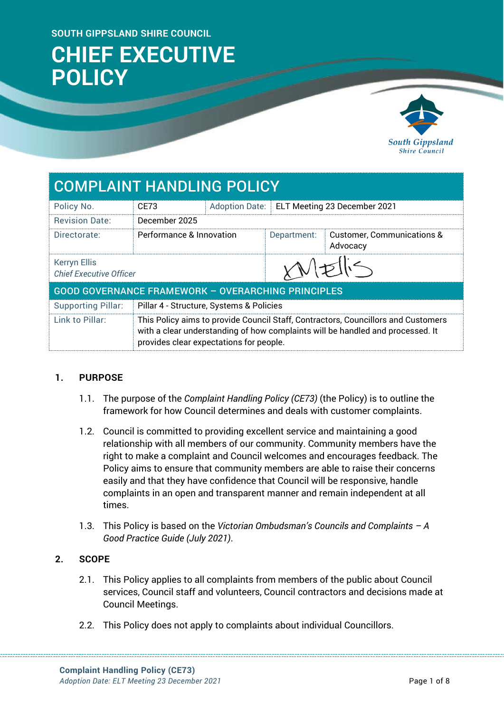#### **SOUTH GIPPSLAND SHIRE COUNCIL**

# **CHIEF EXECUTIVE POLICY**



## COMPLAINT HANDLING POLICY

| Policy No.                                                | CF73                                                                                                                                                                                                           |  | Adoption Date:   ELT Meeting 23 December 2021 |                                                   |  |
|-----------------------------------------------------------|----------------------------------------------------------------------------------------------------------------------------------------------------------------------------------------------------------------|--|-----------------------------------------------|---------------------------------------------------|--|
| <b>Revision Date:</b>                                     | December 2025                                                                                                                                                                                                  |  |                                               |                                                   |  |
| Directorate:                                              | Performance & Innovation                                                                                                                                                                                       |  | Department:                                   | <b>Customer, Communications &amp;</b><br>Advocacy |  |
| <b>Kerryn Ellis</b><br><b>Chief Executive Officer</b>     |                                                                                                                                                                                                                |  | xNEN5                                         |                                                   |  |
| <b>GOOD GOVERNANCE FRAMEWORK - OVERARCHING PRINCIPLES</b> |                                                                                                                                                                                                                |  |                                               |                                                   |  |
| <b>Supporting Pillar:</b>                                 | Pillar 4 - Structure, Systems & Policies                                                                                                                                                                       |  |                                               |                                                   |  |
| <b>Link to Pillar:</b>                                    | This Policy aims to provide Council Staff, Contractors, Councillors and Customers<br>with a clear understanding of how complaints will be handled and processed. It<br>provides clear expectations for people. |  |                                               |                                                   |  |

#### **1. PURPOSE**

- 1.1. The purpose of the *Complaint Handling Policy (CE73)* (the Policy) is to outline the framework for how Council determines and deals with customer complaints.
- 1.2. Council is committed to providing excellent service and maintaining a good relationship with all members of our community. Community members have the right to make a complaint and Council welcomes and encourages feedback. The Policy aims to ensure that community members are able to raise their concerns easily and that they have confidence that Council will be responsive, handle complaints in an open and transparent manner and remain independent at all times.
- 1.3. This Policy is based on the *Victorian Ombudsman's Councils and Complaints – A Good Practice Guide (July 2021)*.

#### **2. SCOPE**

- 2.1. This Policy applies to all complaints from members of the public about Council services, Council staff and volunteers, Council contractors and decisions made at Council Meetings.
- 2.2. This Policy does not apply to complaints about individual Councillors.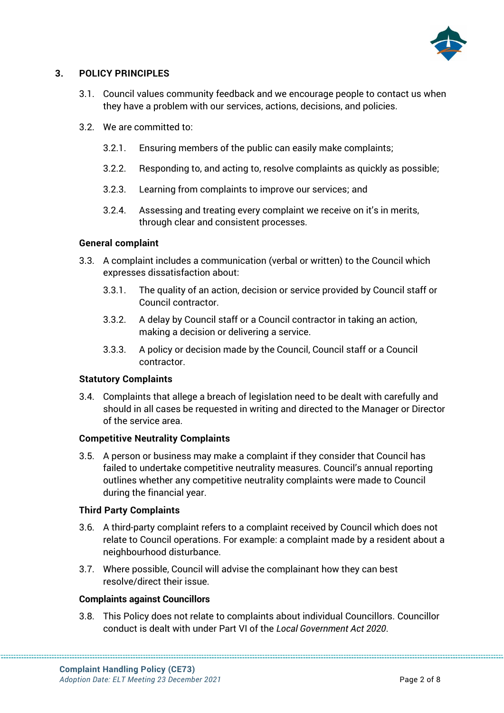

### **3. POLICY PRINCIPLES**

- 3.1. Council values community feedback and we encourage people to contact us when they have a problem with our services, actions, decisions, and policies.
- 3.2. We are committed to:
	- 3.2.1. Ensuring members of the public can easily make complaints;
	- 3.2.2. Responding to, and acting to, resolve complaints as quickly as possible;
	- 3.2.3. Learning from complaints to improve our services; and
	- 3.2.4. Assessing and treating every complaint we receive on it's in merits, through clear and consistent processes.

#### **General complaint**

- 3.3. A complaint includes a communication (verbal or written) to the Council which expresses dissatisfaction about:
	- 3.3.1. The quality of an action, decision or service provided by Council staff or Council contractor.
	- 3.3.2. A delay by Council staff or a Council contractor in taking an action, making a decision or delivering a service.
	- 3.3.3. A policy or decision made by the Council, Council staff or a Council contractor.

#### **Statutory Complaints**

3.4. Complaints that allege a breach of legislation need to be dealt with carefully and should in all cases be requested in writing and directed to the Manager or Director of the service area.

#### **Competitive Neutrality Complaints**

3.5. A person or business may make a complaint if they consider that Council has failed to undertake competitive neutrality measures. Council's annual reporting outlines whether any competitive neutrality complaints were made to Council during the financial year.

#### **Third Party Complaints**

- 3.6. A third-party complaint refers to a complaint received by Council which does not relate to Council operations. For example: a complaint made by a resident about a neighbourhood disturbance.
- 3.7. Where possible, Council will advise the complainant how they can best resolve/direct their issue.

#### **Complaints against Councillors**

3.8. This Policy does not relate to complaints about individual Councillors. Councillor conduct is dealt with under Part VI of the *Local Government Act 2020*.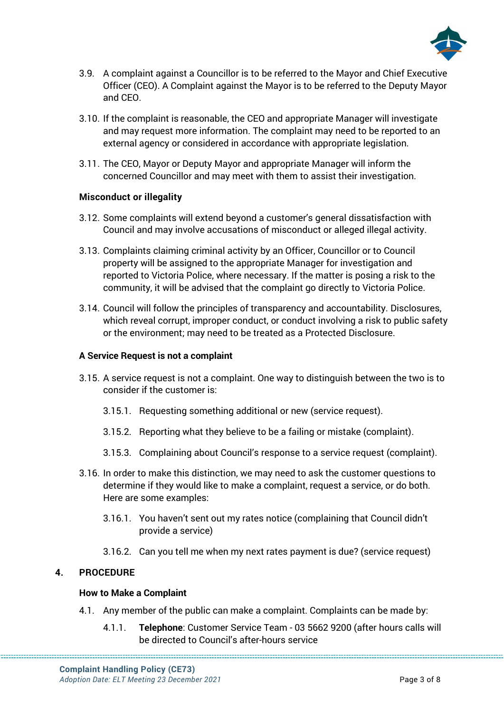

- 3.9. A complaint against a Councillor is to be referred to the Mayor and Chief Executive Officer (CEO). A Complaint against the Mayor is to be referred to the Deputy Mayor and CEO.
- 3.10. If the complaint is reasonable, the CEO and appropriate Manager will investigate and may request more information. The complaint may need to be reported to an external agency or considered in accordance with appropriate legislation.
- 3.11. The CEO, Mayor or Deputy Mayor and appropriate Manager will inform the concerned Councillor and may meet with them to assist their investigation.

#### **Misconduct or illegality**

- 3.12. Some complaints will extend beyond a customer's general dissatisfaction with Council and may involve accusations of misconduct or alleged illegal activity.
- 3.13. Complaints claiming criminal activity by an Officer, Councillor or to Council property will be assigned to the appropriate Manager for investigation and reported to Victoria Police, where necessary. If the matter is posing a risk to the community, it will be advised that the complaint go directly to Victoria Police.
- 3.14. Council will follow the principles of transparency and accountability. Disclosures, which reveal corrupt, improper conduct, or conduct involving a risk to public safety or the environment; may need to be treated as a Protected Disclosure.

#### **A Service Request is not a complaint**

- 3.15. A service request is not a complaint. One way to distinguish between the two is to consider if the customer is:
	- 3.15.1. Requesting something additional or new (service request).
	- 3.15.2. Reporting what they believe to be a failing or mistake (complaint).
	- 3.15.3. Complaining about Council's response to a service request (complaint).
- 3.16. In order to make this distinction, we may need to ask the customer questions to determine if they would like to make a complaint, request a service, or do both. Here are some examples:
	- 3.16.1. You haven't sent out my rates notice (complaining that Council didn't provide a service)
	- 3.16.2. Can you tell me when my next rates payment is due? (service request)

#### **4. PROCEDURE**

#### **How to Make a Complaint**

- 4.1. Any member of the public can make a complaint. Complaints can be made by:
	- 4.1.1. **Telephone**: Customer Service Team 03 5662 9200 (after hours calls will be directed to Council's after-hours service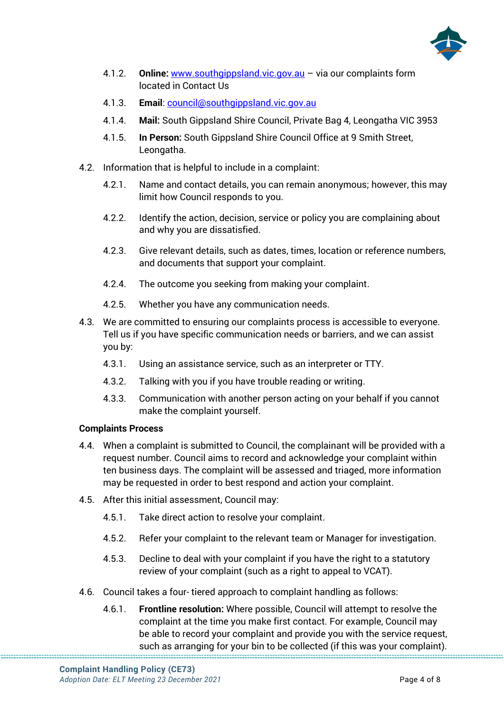

- 4.1.2. **Online:** [www.southgippsland.vic.gov.au](http://www.southgippsland.vic.gov.au/) via our complaints form located in Contact Us
- 4.1.3. **Email**: [council@southgippsland.vic.gov.au](mailto:council@southgippsland.vic.gov.au)
- 4.1.4. **Mail:** South Gippsland Shire Council, Private Bag 4, Leongatha VIC 3953
- 4.1.5. **In Person:** South Gippsland Shire Council Office at 9 Smith Street, Leongatha.
- 4.2. Information that is helpful to include in a complaint:
	- 4.2.1. Name and contact details, you can remain anonymous; however, this may limit how Council responds to you.
	- 4.2.2. Identify the action, decision, service or policy you are complaining about and why you are dissatisfied.
	- 4.2.3. Give relevant details, such as dates, times, location or reference numbers, and documents that support your complaint.
	- 4.2.4. The outcome you seeking from making your complaint.
	- 4.2.5. Whether you have any communication needs.
- 4.3. We are committed to ensuring our complaints process is accessible to everyone. Tell us if you have specific communication needs or barriers, and we can assist you by:
	- 4.3.1. Using an assistance service, such as an interpreter or TTY.
	- 4.3.2. Talking with you if you have trouble reading or writing.
	- 4.3.3. Communication with another person acting on your behalf if you cannot make the complaint yourself.

#### **Complaints Process**

- 4.4. When a complaint is submitted to Council, the complainant will be provided with a request number. Council aims to record and acknowledge your complaint within ten business days. The complaint will be assessed and triaged, more information may be requested in order to best respond and action your complaint.
- 4.5. After this initial assessment, Council may:
	- 4.5.1. Take direct action to resolve your complaint.
	- 4.5.2. Refer your complaint to the relevant team or Manager for investigation.
	- 4.5.3. Decline to deal with your complaint if you have the right to a statutory review of your complaint (such as a right to appeal to VCAT).
- 4.6. Council takes a four- tiered approach to complaint handling as follows:
	- 4.6.1. **Frontline resolution:** Where possible, Council will attempt to resolve the complaint at the time you make first contact. For example, Council may be able to record your complaint and provide you with the service request, such as arranging for your bin to be collected (if this was your complaint).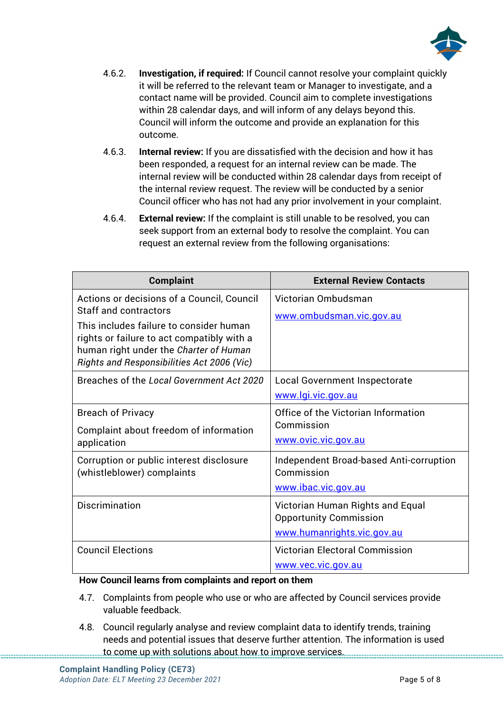

- 4.6.2. **Investigation, if required:** If Council cannot resolve your complaint quickly it will be referred to the relevant team or Manager to investigate, and a contact name will be provided. Council aim to complete investigations within 28 calendar days, and will inform of any delays beyond this. Council will inform the outcome and provide an explanation for this outcome.
- 4.6.3. **Internal review:** If you are dissatisfied with the decision and how it has been responded, a request for an internal review can be made. The internal review will be conducted within 28 calendar days from receipt of the internal review request. The review will be conducted by a senior Council officer who has not had any prior involvement in your complaint.
- 4.6.4. **External review:** If the complaint is still unable to be resolved, you can seek support from an external body to resolve the complaint. You can request an external review from the following organisations:

| <b>Complaint</b>                                                                                                                                                                                                                                     | <b>External Review Contacts</b>                                                                 |  |  |
|------------------------------------------------------------------------------------------------------------------------------------------------------------------------------------------------------------------------------------------------------|-------------------------------------------------------------------------------------------------|--|--|
| Actions or decisions of a Council, Council<br>Staff and contractors<br>This includes failure to consider human<br>rights or failure to act compatibly with a<br>human right under the Charter of Human<br>Rights and Responsibilities Act 2006 (Vic) | Victorian Ombudsman<br>www.ombudsman.vic.gov.au                                                 |  |  |
| Breaches of the Local Government Act 2020                                                                                                                                                                                                            | Local Government Inspectorate<br>www.lgi.vic.gov.au                                             |  |  |
| <b>Breach of Privacy</b><br>Complaint about freedom of information<br>application                                                                                                                                                                    | Office of the Victorian Information<br>Commission<br>www.ovic.vic.gov.au                        |  |  |
| Corruption or public interest disclosure<br>(whistleblower) complaints                                                                                                                                                                               | Independent Broad-based Anti-corruption<br>Commission<br>www.ibac.vic.gov.au                    |  |  |
| Discrimination                                                                                                                                                                                                                                       | Victorian Human Rights and Equal<br><b>Opportunity Commission</b><br>www.humanrights.vic.gov.au |  |  |
| <b>Council Elections</b>                                                                                                                                                                                                                             | <b>Victorian Electoral Commission</b><br>www.vec.vic.gov.au                                     |  |  |

#### **How Council learns from complaints and report on them**

- 4.7. Complaints from people who use or who are affected by Council services provide valuable feedback.
- 4.8. Council regularly analyse and review complaint data to identify trends, training needs and potential issues that deserve further attention. The information is used to come up with solutions about how to improve services.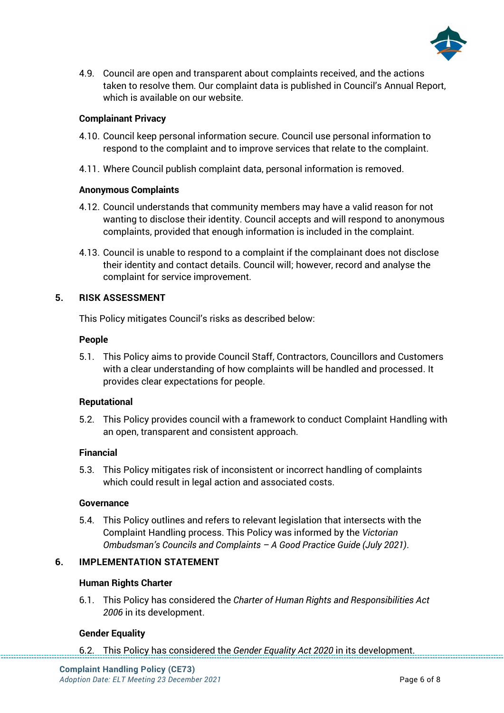

4.9. Council are open and transparent about complaints received, and the actions taken to resolve them. Our complaint data is published in Council's Annual Report, which is available on our website.

#### **Complainant Privacy**

- 4.10. Council keep personal information secure. Council use personal information to respond to the complaint and to improve services that relate to the complaint.
- 4.11. Where Council publish complaint data, personal information is removed.

#### **Anonymous Complaints**

- 4.12. Council understands that community members may have a valid reason for not wanting to disclose their identity. Council accepts and will respond to anonymous complaints, provided that enough information is included in the complaint.
- 4.13. Council is unable to respond to a complaint if the complainant does not disclose their identity and contact details. Council will; however, record and analyse the complaint for service improvement.

#### **5. RISK ASSESSMENT**

This Policy mitigates Council's risks as described below:

#### **People**

5.1. This Policy aims to provide Council Staff, Contractors, Councillors and Customers with a clear understanding of how complaints will be handled and processed. It provides clear expectations for people.

#### **Reputational**

5.2. This Policy provides council with a framework to conduct Complaint Handling with an open, transparent and consistent approach.

#### **Financial**

5.3. This Policy mitigates risk of inconsistent or incorrect handling of complaints which could result in legal action and associated costs.

#### **Governance**

5.4. This Policy outlines and refers to relevant legislation that intersects with the Complaint Handling process. This Policy was informed by the *Victorian Ombudsman's Councils and Complaints – A Good Practice Guide (July 2021)*.

#### **6. IMPLEMENTATION STATEMENT**

#### **Human Rights Charter**

6.1. This Policy has considered the *Charter of Human Rights and Responsibilities Act 2006* in its development.

#### **Gender Equality**

6.2. This Policy has considered the *Gender Equality Act 2020* in its development.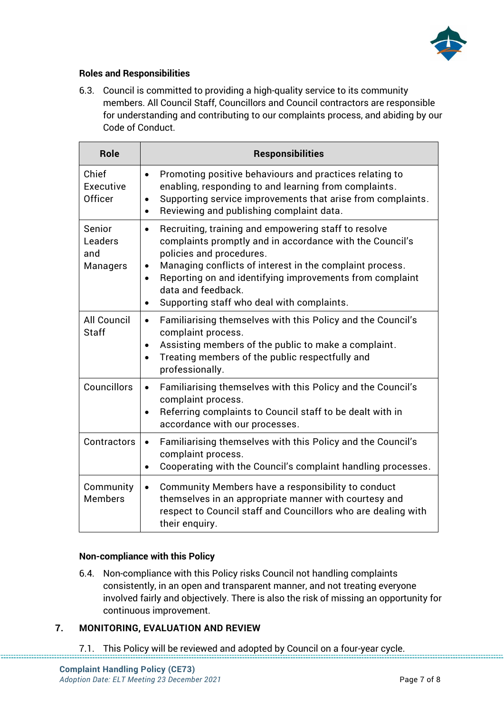

#### **Roles and Responsibilities**

6.3. Council is committed to providing a high-quality service to its community members. All Council Staff, Councillors and Council contractors are responsible for understanding and contributing to our complaints process, and abiding by our Code of Conduct.

| <b>Role</b>                          | <b>Responsibilities</b>                                                                                                                                                                                                                                                                                                                                                                      |  |  |  |
|--------------------------------------|----------------------------------------------------------------------------------------------------------------------------------------------------------------------------------------------------------------------------------------------------------------------------------------------------------------------------------------------------------------------------------------------|--|--|--|
| Chief<br>Executive<br>Officer        | Promoting positive behaviours and practices relating to<br>$\bullet$<br>enabling, responding to and learning from complaints.<br>Supporting service improvements that arise from complaints.<br>$\bullet$<br>Reviewing and publishing complaint data.<br>$\bullet$                                                                                                                           |  |  |  |
| Senior<br>Leaders<br>and<br>Managers | Recruiting, training and empowering staff to resolve<br>$\bullet$<br>complaints promptly and in accordance with the Council's<br>policies and procedures.<br>Managing conflicts of interest in the complaint process.<br>$\bullet$<br>Reporting on and identifying improvements from complaint<br>$\bullet$<br>data and feedback.<br>Supporting staff who deal with complaints.<br>$\bullet$ |  |  |  |
| <b>All Council</b><br><b>Staff</b>   | Familiarising themselves with this Policy and the Council's<br>$\bullet$<br>complaint process.<br>Assisting members of the public to make a complaint.<br>$\bullet$<br>Treating members of the public respectfully and<br>$\bullet$<br>professionally.                                                                                                                                       |  |  |  |
| Councillors                          | Familiarising themselves with this Policy and the Council's<br>$\bullet$<br>complaint process.<br>Referring complaints to Council staff to be dealt with in<br>$\bullet$<br>accordance with our processes.                                                                                                                                                                                   |  |  |  |
| Contractors                          | Familiarising themselves with this Policy and the Council's<br>$\bullet$<br>complaint process.<br>Cooperating with the Council's complaint handling processes.<br>$\bullet$                                                                                                                                                                                                                  |  |  |  |
| Community<br><b>Members</b>          | Community Members have a responsibility to conduct<br>$\bullet$<br>themselves in an appropriate manner with courtesy and<br>respect to Council staff and Councillors who are dealing with<br>their enguiry.                                                                                                                                                                                  |  |  |  |

#### **Non-compliance with this Policy**

6.4. Non-compliance with this Policy risks Council not handling complaints consistently, in an open and transparent manner, and not treating everyone involved fairly and objectively. There is also the risk of missing an opportunity for continuous improvement.

#### **7. MONITORING, EVALUATION AND REVIEW**

7.1. This Policy will be reviewed and adopted by Council on a four-year cycle.